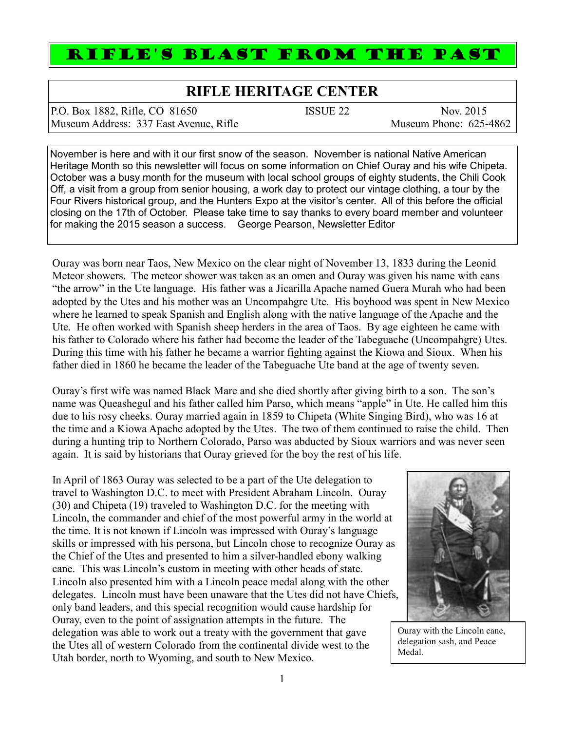## RIFLE'S BLAST FROM THE PAST

## **RIFLE HERITAGE CENTER**

P.O. Box 1882, Rifle, CO 81650 ISSUE 22 Nov. 2015 Museum Address: 337 East Avenue, Rifle Museum Phone: 625-4862

November is here and with it our first snow of the season. November is national Native American Heritage Month so this newsletter will focus on some information on Chief Ouray and his wife Chipeta. October was a busy month for the museum with local school groups of eighty students, the Chili Cook Off, a visit from a group from senior housing, a work day to protect our vintage clothing, a tour by the Four Rivers historical group, and the Hunters Expo at the visitor's center. All of this before the official closing on the 17th of October. Please take time to say thanks to every board member and volunteer for making the 2015 season a success. George Pearson, Newsletter Editor

Ouray was born near Taos, New Mexico on the clear night of November 13, 1833 during the Leonid Meteor showers. The meteor shower was taken as an omen and Ouray was given his name with eans "the arrow" in the Ute language. His father was a Jicarilla Apache named Guera Murah who had been adopted by the Utes and his mother was an Uncompahgre Ute. His boyhood was spent in New Mexico where he learned to speak Spanish and English along with the native language of the Apache and the Ute. He often worked with Spanish sheep herders in the area of Taos. By age eighteen he came with his father to Colorado where his father had become the leader of the Tabeguache (Uncompahgre) Utes. During this time with his father he became a warrior fighting against the Kiowa and Sioux. When his father died in 1860 he became the leader of the Tabeguache Ute band at the age of twenty seven.

Ouray's first wife was named Black Mare and she died shortly after giving birth to a son. The son's name was Queashegul and his father called him Parso, which means "apple" in Ute. He called him this due to his rosy cheeks. Ouray married again in 1859 to Chipeta (White Singing Bird), who was 16 at the time and a Kiowa Apache adopted by the Utes. The two of them continued to raise the child. Then during a hunting trip to Northern Colorado, Parso was abducted by Sioux warriors and was never seen again. It is said by historians that Ouray grieved for the boy the rest of his life.

In April of 1863 Ouray was selected to be a part of the Ute delegation to travel to Washington D.C. to meet with President Abraham Lincoln. Ouray (30) and Chipeta (19) traveled to Washington D.C. for the meeting with Lincoln, the commander and chief of the most powerful army in the world at the time. It is not known if Lincoln was impressed with Ouray's language skills or impressed with his persona, but Lincoln chose to recognize Ouray as the Chief of the Utes and presented to him a silver-handled ebony walking cane. This was Lincoln's custom in meeting with other heads of state. Lincoln also presented him with a Lincoln peace medal along with the other delegates. Lincoln must have been unaware that the Utes did not have Chiefs, only band leaders, and this special recognition would cause hardship for Ouray, even to the point of assignation attempts in the future. The delegation was able to work out a treaty with the government that gave the Utes all of western Colorado from the continental divide west to the Utah border, north to Wyoming, and south to New Mexico.



Ouray with the Lincoln cane, delegation sash, and Peace Medal.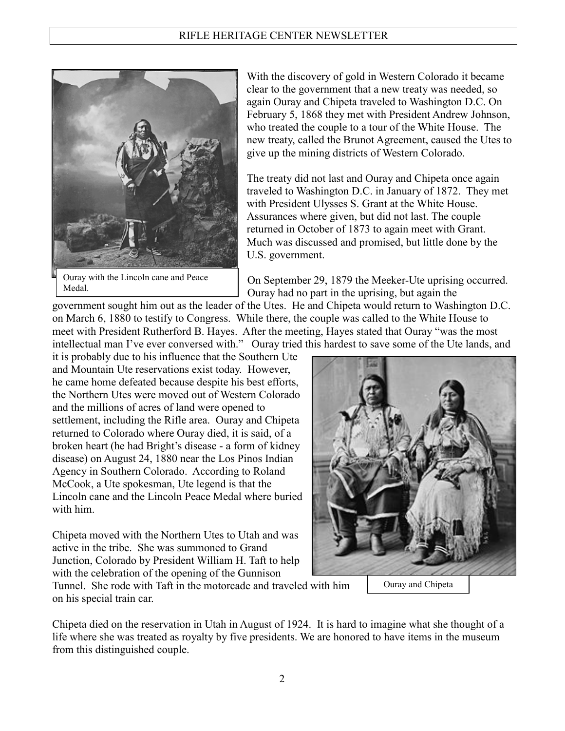

Ouray with the Lincoln cane and Peace Medal.

With the discovery of gold in Western Colorado it became clear to the government that a new treaty was needed, so again Ouray and Chipeta traveled to Washington D.C. On February 5, 1868 they met with President Andrew Johnson, who treated the couple to a tour of the White House. The new treaty, called the Brunot Agreement, caused the Utes to give up the mining districts of Western Colorado.

The treaty did not last and Ouray and Chipeta once again traveled to Washington D.C. in January of 1872. They met with President Ulysses S. Grant at the White House. Assurances where given, but did not last. The couple returned in October of 1873 to again meet with Grant. Much was discussed and promised, but little done by the U.S. government.

On September 29, 1879 the Meeker-Ute uprising occurred. Ouray had no part in the uprising, but again the

government sought him out as the leader of the Utes. He and Chipeta would return to Washington D.C. on March 6, 1880 to testify to Congress. While there, the couple was called to the White House to meet with President Rutherford B. Hayes. After the meeting, Hayes stated that Ouray "was the most intellectual man I've ever conversed with." Ouray tried this hardest to save some of the Ute lands, and

it is probably due to his influence that the Southern Ute and Mountain Ute reservations exist today. However, he came home defeated because despite his best efforts, the Northern Utes were moved out of Western Colorado and the millions of acres of land were opened to settlement, including the Rifle area. Ouray and Chipeta returned to Colorado where Ouray died, it is said, of a broken heart (he had Bright's disease - a form of kidney disease) on August 24, 1880 near the Los Pinos Indian Agency in Southern Colorado. According to Roland McCook, a Ute spokesman, Ute legend is that the Lincoln cane and the Lincoln Peace Medal where buried with him.

Chipeta moved with the Northern Utes to Utah and was active in the tribe. She was summoned to Grand Junction, Colorado by President William H. Taft to help with the celebration of the opening of the Gunnison



Tunnel. She rode with Taft in the motorcade and traveled with him on his special train car.

Chipeta died on the reservation in Utah in August of 1924. It is hard to imagine what she thought of a life where she was treated as royalty by five presidents. We are honored to have items in the museum from this distinguished couple.

2